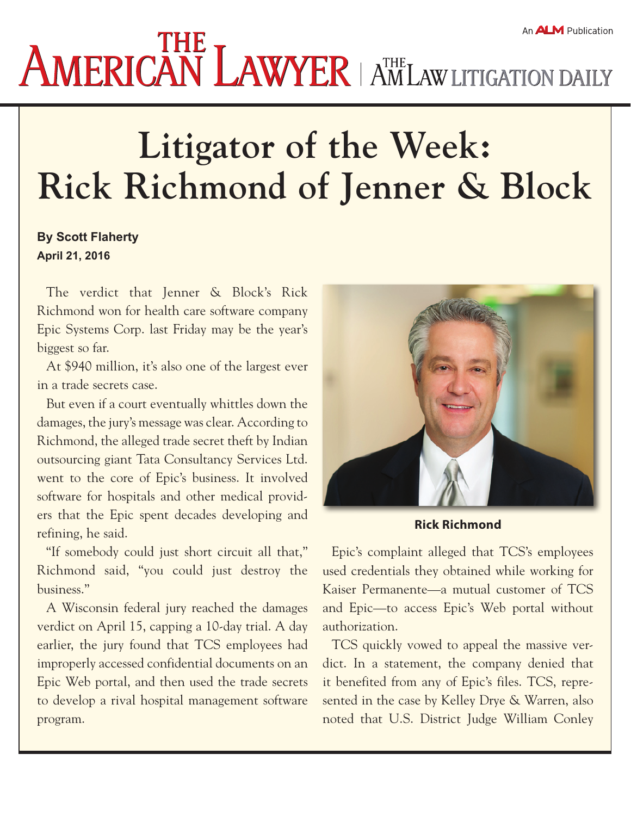## An **ALM** Publication **AMERICAN LAWYER AMERICANT AND AMERICAN SURFUGILITY**

## **Litigator of the Week: Rick Richmond of Jenner & Block**

## **By Scott Flaherty April 21, 2016**

The verdict that Jenner & Block's Rick Richmond won for health care software company Epic Systems Corp. last Friday may be the year's biggest so far.

At \$940 million, it's also one of the largest ever in a trade secrets case.

But even if a court eventually whittles down the damages, the jury's message was clear. According to Richmond, the alleged trade secret theft by Indian outsourcing giant Tata Consultancy Services Ltd. went to the core of Epic's business. It involved software for hospitals and other medical providers that the Epic spent decades developing and refining, he said.

"If somebody could just short circuit all that," Richmond said, "you could just destroy the business."

A Wisconsin federal jury reached the damages verdict on April 15, capping a 10-day trial. A day earlier, the jury found that TCS employees had improperly accessed confidential documents on an Epic Web portal, and then used the trade secrets to develop a rival hospital management software program.



**Rick Richmond**

Epic's complaint alleged that TCS's employees used credentials they obtained while working for Kaiser Permanente—a mutual customer of TCS and Epic—to access Epic's Web portal without authorization.

TCS quickly vowed to appeal the massive verdict. In a [statement](http://www.tcs.com/news_events/press_releases/Pages/TCS-says-no-IP-infringement-Epic-Systems-case-Company-to-defend-its-position.aspx), the company denied that it benefited from any of Epic's files. TCS, represented in the case by Kelley Drye & Warren, also noted that U.S. District Judge William Conley